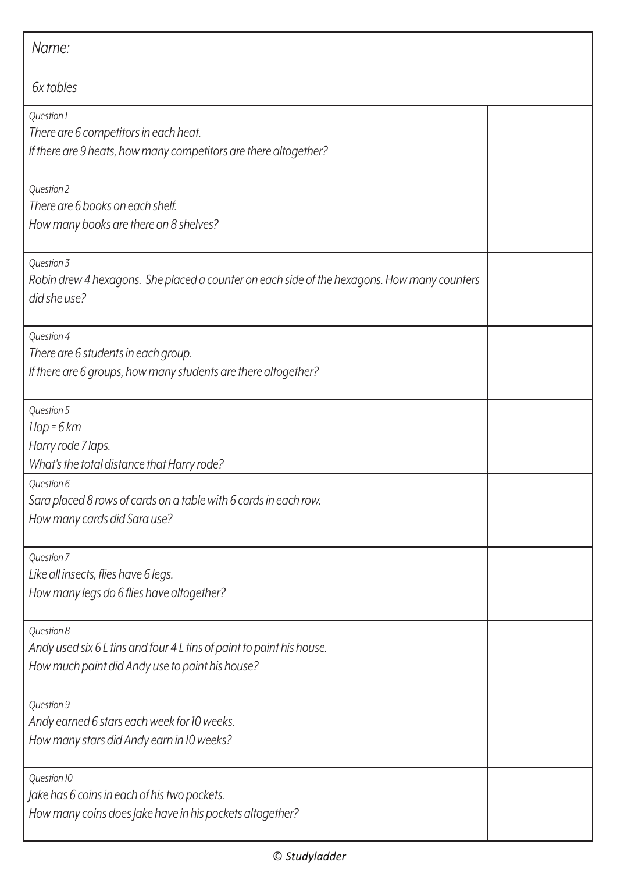| Name:                                                                                                                                  |  |
|----------------------------------------------------------------------------------------------------------------------------------------|--|
| 6x tables                                                                                                                              |  |
| Question 1<br>There are 6 competitors in each heat.<br>If there are 9 heats, how many competitors are there altogether?                |  |
| Question 2<br>There are 6 books on each shelf.<br>How many books are there on 8 shelves?                                               |  |
| Question 3<br>Robin drew 4 hexagons. She placed a counter on each side of the hexagons. How many counters<br>did she use?              |  |
| Question 4<br>There are 6 students in each group.<br>If there are 6 groups, how many students are there altogether?                    |  |
| Question 5<br>$1$ lap = 6 km<br>Harry rode 7 laps.<br>What's the total distance that Harry rode?                                       |  |
| Question 6<br>Sara placed 8 rows of cards on a table with 6 cards in each row.<br>How many cards did Sara use?                         |  |
| Question 7<br>Like all insects, flies have 6 legs.<br>How many legs do 6 flies have altogether?                                        |  |
| Question 8<br>Andy used six 6 L tins and four 4 L tins of paint to paint his house.<br>How much paint did Andy use to paint his house? |  |
| Question 9<br>Andy earned 6 stars each week for 10 weeks.<br>How many stars did Andy earn in 10 weeks?                                 |  |
| Question 10<br>Jake has 6 coins in each of his two pockets.<br>How many coins does Jake have in his pockets altogether?                |  |